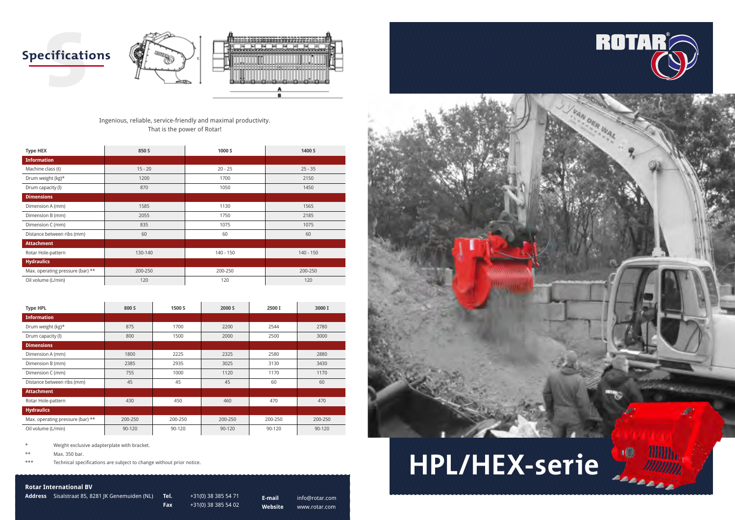



### **Rotar International BV**

**Address** Sisalstraat 85, 8281 JK Genemuiden (NL) **Tel.** +31(0) 38 385 54 71

**Fax** +31(0) 38 385 54 02

**E-mail** info@rotar.com **Website** www.rotar.com







Ingenious, reliable, service-friendly and maximal productivity. That is the power of Rotar!

\*\* Max. 350 bar.

\*\*\* Technical specifications are subject to change without prior notice.

| <b>Type HEX</b>                  | 850 S     | 1000 S      | 1400 S      |  |
|----------------------------------|-----------|-------------|-------------|--|
| <b>Information</b>               |           |             |             |  |
| Machine class (t)                | $15 - 20$ | $20 - 25$   | $25 - 35$   |  |
| Drum weight (kg)*                | 1200      | 1700        | 2150        |  |
| Drum capacity (l)                | 870       | 1050        | 1450        |  |
| <b>Dimensions</b>                |           |             |             |  |
| Dimension A (mm)                 | 1585      | 1130        | 1565        |  |
| Dimension B (mm)                 | 2055      | 1750        | 2185        |  |
| Dimension C (mm)                 | 835       | 1075        | 1075        |  |
| Distance between ribs (mm)       | 60        | 60          |             |  |
| <b>Attachment</b>                |           |             |             |  |
| Rotar Hole-pattern               | 130-140   | $140 - 150$ | $140 - 150$ |  |
| <b>Hydraulics</b>                |           |             |             |  |
| Max. operating pressure (bar) ** | 200-250   | 200-250     | 200-250     |  |
| Oil volume (L/min)               | 120       | 120<br>120  |             |  |

| <b>Type HPL</b>                  | 800 S   | 1500 S  | 2000 S  | 2500 I  | 3000 I  |
|----------------------------------|---------|---------|---------|---------|---------|
| <b>Information</b>               |         |         |         |         |         |
| Drum weight (kg)*                | 875     | 1700    | 2200    | 2544    | 2780    |
| Drum capacity (l)                | 800     | 1500    | 2000    | 2500    | 3000    |
| <b>Dimensions</b>                |         |         |         |         |         |
| Dimension A (mm)                 | 1800    | 2225    | 2325    | 2580    | 2880    |
| Dimension B (mm)                 | 2385    | 2935    | 3025    | 3130    | 3430    |
| Dimension C (mm)                 | 755     | 1000    | 1120    | 1170    | 1170    |
| Distance between ribs (mm)       | 45      | 45      | 45      | 60      | 60      |
| <b>Attachment</b>                |         |         |         |         |         |
| Rotar Hole-pattern               | 430     | 450     | 460     | 470     | 470     |
| <b>Hydraulics</b>                |         |         |         |         |         |
| Max. operating pressure (bar) ** | 200-250 | 200-250 | 200-250 | 200-250 | 200-250 |
| Oil volume (L/min)               | 90-120  | 90-120  | 90-120  | 90-120  | 90-120  |

Weight exclusive adapterplate with bracket.